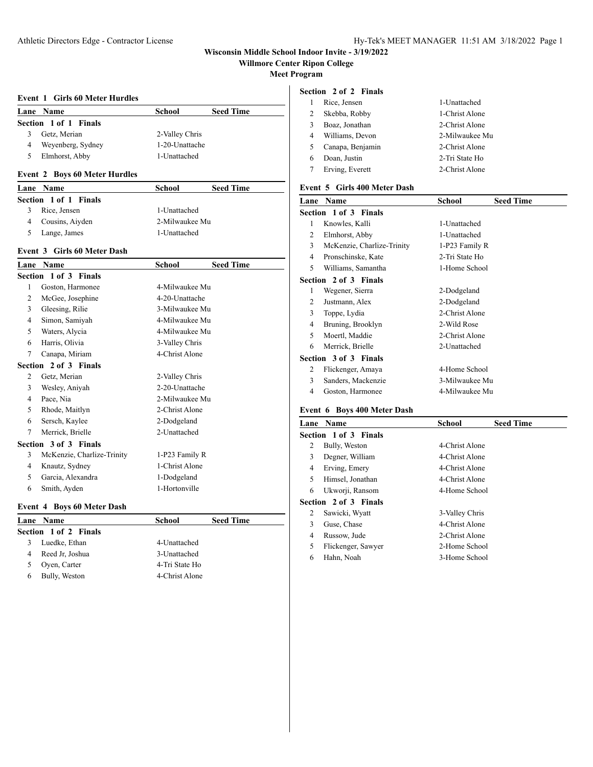# **Wisconsin Middle School Indoor Invite - 3/19/2022**

**Willmore Center Ripon College**

**Meet Program**

#### **Event 1 Girls 60 Meter Hurdles**

|   | Lane Name             | School         | <b>Seed Time</b> |  |
|---|-----------------------|----------------|------------------|--|
|   | Section 1 of 1 Finals |                |                  |  |
|   | Getz, Merian          | 2-Valley Chris |                  |  |
| 4 | Weyenberg, Sydney     | 1-20-Unattache |                  |  |
|   | Elmhorst, Abby        | 1-Unattached   |                  |  |

### **Event 2 Boys 60 Meter Hurdles**

| Lane Name |                       | School         | <b>Seed Time</b> |
|-----------|-----------------------|----------------|------------------|
|           | Section 1 of 1 Finals |                |                  |
| 3         | Rice, Jensen          | 1-Unattached   |                  |
| 4         | Cousins, Aiyden       | 2-Milwaukee Mu |                  |
|           | Lange, James          | 1-Unattached   |                  |

### **Event 3 Girls 60 Meter Dash**

| Lane                  | <b>Name</b>                | School         | <b>Seed Time</b> |  |
|-----------------------|----------------------------|----------------|------------------|--|
| Section 1 of 3 Finals |                            |                |                  |  |
| 1                     | Goston, Harmonee           | 4-Milwaukee Mu |                  |  |
| $\overline{c}$        | McGee, Josephine           | 4-20-Unattache |                  |  |
| 3                     | Gleesing, Rilie            | 3-Milwaukee Mu |                  |  |
| 4                     | Simon, Samiyah             | 4-Milwaukee Mu |                  |  |
| 5                     | Waters, Alycia             | 4-Milwaukee Mu |                  |  |
| 6                     | Harris, Olivia             | 3-Valley Chris |                  |  |
| 7                     | Canapa, Miriam             | 4-Christ Alone |                  |  |
|                       | Section 2 of 3 Finals      |                |                  |  |
| 2                     | Getz, Merian               | 2-Valley Chris |                  |  |
| 3                     | Wesley, Aniyah             | 2-20-Unattache |                  |  |
| 4                     | Pace, Nia                  | 2-Milwaukee Mu |                  |  |
| 5                     | Rhode, Maitlyn             | 2-Christ Alone |                  |  |
| 6                     | Sersch, Kaylee             | 2-Dodgeland    |                  |  |
| 7                     | Merrick, Brielle           | 2-Unattached   |                  |  |
|                       | Section 3 of 3 Finals      |                |                  |  |
| 3                     | McKenzie, Charlize-Trinity | 1-P23 Family R |                  |  |
| 4                     | Knautz, Sydney             | 1-Christ Alone |                  |  |
| 5                     | Garcia, Alexandra          | 1-Dodgeland    |                  |  |
| 6                     | Smith, Ayden               | 1-Hortonville  |                  |  |
|                       |                            |                |                  |  |

# **Event 4 Boys 60 Meter Dash**

|   | Lane Name             | <b>School</b>  | <b>Seed Time</b> |
|---|-----------------------|----------------|------------------|
|   | Section 1 of 2 Finals |                |                  |
| 3 | Luedke, Ethan         | 4-Unattached   |                  |
| 4 | Reed Jr, Joshua       | 3-Unattached   |                  |
|   | Oyen, Carter          | 4-Tri State Ho |                  |
| 6 | Bully, Weston         | 4-Christ Alone |                  |

# **Section 2 of 2 Finals**

|   | Rice, Jensen     | 1-Unattached   |
|---|------------------|----------------|
| 2 | Skebba, Robby    | 1-Christ Alone |
| 3 | Boaz, Jonathan   | 2-Christ Alone |
| 4 | Williams, Devon  | 2-Milwaukee Mu |
|   | Canapa, Benjamin | 2-Christ Alone |
| 6 | Doan, Justin     | 2-Tri State Ho |
|   | Erving, Everett  | 2-Christ Alone |
|   |                  |                |

### **Event 5 Girls 400 Meter Dash**

| Lane | Name                       | School         | <b>Seed Time</b> |
|------|----------------------------|----------------|------------------|
|      | Section 1 of 3 Finals      |                |                  |
| 1    | Knowles, Kalli             | 1-Unattached   |                  |
| 2    | Elmhorst, Abby             | 1-Unattached   |                  |
| 3    | McKenzie, Charlize-Trinity | 1-P23 Family R |                  |
| 4    | Pronschinske, Kate         | 2-Tri State Ho |                  |
| 5    | Williams, Samantha         | 1-Home School  |                  |
|      | Section 2 of 3 Finals      |                |                  |
| 1    | Wegener, Sierra            | 2-Dodgeland    |                  |
| 2    | Justmann, Alex             | 2-Dodgeland    |                  |
| 3    | Toppe, Lydia               | 2-Christ Alone |                  |
| 4    | Bruning, Brooklyn          | 2-Wild Rose    |                  |
| 5    | Moertl, Maddie             | 2-Christ Alone |                  |
| 6    | Merrick, Brielle           | 2-Unattached   |                  |
|      | Section 3 of 3 Finals      |                |                  |
| 2    | Flickenger, Amaya          | 4-Home School  |                  |
| 3    | Sanders, Mackenzie         | 3-Milwaukee Mu |                  |
| 4    | Goston, Harmonee           | 4-Milwaukee Mu |                  |

# **Event 6 Boys 400 Meter Dash**

| <b>Name</b>        | School                                         | <b>Seed Time</b> |
|--------------------|------------------------------------------------|------------------|
|                    |                                                |                  |
| Bully, Weston      | 4-Christ Alone                                 |                  |
| Degner, William    | 4-Christ Alone                                 |                  |
| Erving, Emery      | 4-Christ Alone                                 |                  |
| Himsel, Jonathan   | 4-Christ Alone                                 |                  |
| Ukworji, Ransom    | 4-Home School                                  |                  |
|                    |                                                |                  |
| Sawicki, Wyatt     | 3-Valley Chris                                 |                  |
| Guse, Chase        | 4-Christ Alone                                 |                  |
| Russow, Jude       | 2-Christ Alone                                 |                  |
| Flickenger, Sawyer | 2-Home School                                  |                  |
| Hahn, Noah         | 3-Home School                                  |                  |
|                    | Section 1 of 3 Finals<br>Section 2 of 3 Finals |                  |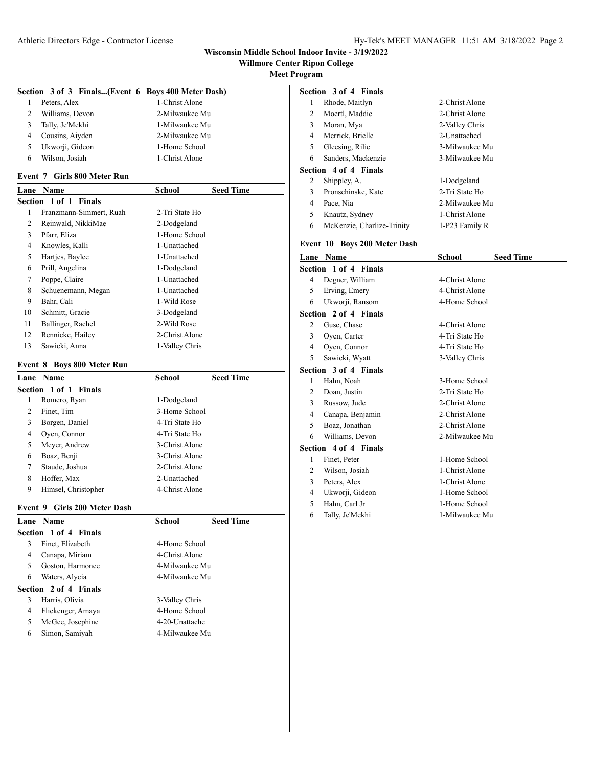# **Wisconsin Middle School Indoor Invite - 3/19/2022**

**Willmore Center Ripon College**

**Meet Program**

#### **Section 3 of 3 Finals...(Event 6 Boys 400 Meter Dash)**

|   | Peters, Alex    | 1-Christ Alone |  |
|---|-----------------|----------------|--|
| 2 | Williams, Devon | 2-Milwaukee Mu |  |
| 3 | Tally, Je'Mekhi | 1-Milwaukee Mu |  |
|   | Cousins, Aiyden | 2-Milwaukee Mu |  |
| 5 | Ukworji, Gideon | 1-Home School  |  |
| 6 | Wilson, Josiah  | 1-Christ Alone |  |

#### **Event 7 Girls 800 Meter Run**

| Lane | Name                     | School         | <b>Seed Time</b> |
|------|--------------------------|----------------|------------------|
|      | Section 1 of 1<br>Finals |                |                  |
| 1    | Franzmann-Simmert, Ruah  | 2-Tri State Ho |                  |
| 2    | Reinwald, NikkiMae       | 2-Dodgeland    |                  |
| 3    | Pfarr, Eliza             | 1-Home School  |                  |
| 4    | Knowles, Kalli           | 1-Unattached   |                  |
| 5    | Hartjes, Baylee          | 1-Unattached   |                  |
| 6    | Prill, Angelina          | 1-Dodgeland    |                  |
| 7    | Poppe, Claire            | 1-Unattached   |                  |
| 8    | Schuenemann, Megan       | 1-Unattached   |                  |
| 9    | Bahr, Cali               | 1-Wild Rose    |                  |
| 10   | Schmitt, Gracie          | 3-Dodgeland    |                  |
| 11   | Ballinger, Rachel        | 2-Wild Rose    |                  |
| 12   | Rennicke, Hailey         | 2-Christ Alone |                  |
| 13   | Sawicki, Anna            | 1-Valley Chris |                  |

### **Event 8 Boys 800 Meter Run**

| Lane | <b>Name</b>           | School         | <b>Seed Time</b> |
|------|-----------------------|----------------|------------------|
|      | Section 1 of 1 Finals |                |                  |
| 1    | Romero, Ryan          | 1-Dodgeland    |                  |
| 2    | Finet, Tim            | 3-Home School  |                  |
| 3    | Borgen, Daniel        | 4-Tri State Ho |                  |
| 4    | Oyen, Connor          | 4-Tri State Ho |                  |
| 5    | Meyer, Andrew         | 3-Christ Alone |                  |
| 6    | Boaz, Benji           | 3-Christ Alone |                  |
| 7    | Staude, Joshua        | 2-Christ Alone |                  |
| 8    | Hoffer, Max           | 2-Unattached   |                  |
| 9    | Himsel, Christopher   | 4-Christ Alone |                  |

# **Event 9 Girls 200 Meter Dash**

|   | Lane Name             | <b>School</b>  | <b>Seed Time</b> |
|---|-----------------------|----------------|------------------|
|   | Section 1 of 4 Finals |                |                  |
| 3 | Finet, Elizabeth      | 4-Home School  |                  |
| 4 | Canapa, Miriam        | 4-Christ Alone |                  |
| 5 | Goston, Harmonee      | 4-Milwaukee Mu |                  |
| 6 | Waters, Alycia        | 4-Milwaukee Mu |                  |
|   | Section 2 of 4 Finals |                |                  |
| 3 | Harris, Olivia        | 3-Valley Chris |                  |
| 4 | Flickenger, Amaya     | 4-Home School  |                  |
| 5 | McGee, Josephine      | 4-20-Unattache |                  |
| 6 | Simon, Samiyah        | 4-Milwaukee Mu |                  |

# **Section 3 of 4 Finals**

| 1 | Rhode, Maitlyn        | 2-Christ Alone |
|---|-----------------------|----------------|
| 2 | Moertl, Maddie        | 2-Christ Alone |
| 3 | Moran, Mya            | 2-Valley Chris |
| 4 | Merrick, Brielle      | 2-Unattached   |
| 5 | Gleesing, Rilie       | 3-Milwaukee Mu |
| 6 | Sanders, Mackenzie    | 3-Milwaukee Mu |
|   | Section 4 of 4 Finals |                |
| 2 | Shippley, A.          | 1-Dodgeland    |
| 3 | Pronschinske, Kate    | 2-Tri State Ho |
| 4 | Pace, Nia             | 2-Milwaukee Mu |
| 5 | Knautz, Sydney        | 1-Christ Alone |

McKenzie, Charlize-Trinity 1-P23 Family R

# **Event 10 Boys 200 Meter Dash**

| Lane                  | <b>Name</b>           | School         | <b>Seed Time</b> |  |
|-----------------------|-----------------------|----------------|------------------|--|
| Section 1 of 4 Finals |                       |                |                  |  |
| 4                     | Degner, William       | 4-Christ Alone |                  |  |
| 5                     | Erving, Emery         | 4-Christ Alone |                  |  |
| 6                     | Ukworji, Ransom       | 4-Home School  |                  |  |
|                       | Section 2 of 4 Finals |                |                  |  |
| 2                     | Guse, Chase           | 4-Christ Alone |                  |  |
| 3                     | Oyen, Carter          | 4-Tri State Ho |                  |  |
| 4                     | Oyen, Connor          | 4-Tri State Ho |                  |  |
| 5                     | Sawicki, Wyatt        | 3-Valley Chris |                  |  |
|                       | Section 3 of 4 Finals |                |                  |  |
| 1                     | Hahn, Noah            | 3-Home School  |                  |  |
| 2                     | Doan, Justin          | 2-Tri State Ho |                  |  |
| 3                     | Russow, Jude          | 2-Christ Alone |                  |  |
| 4                     | Canapa, Benjamin      | 2-Christ Alone |                  |  |
| 5                     | Boaz, Jonathan        | 2-Christ Alone |                  |  |
| 6                     | Williams, Devon       | 2-Milwaukee Mu |                  |  |
| Section 4 of 4 Finals |                       |                |                  |  |
| 1                     | Finet, Peter          | 1-Home School  |                  |  |
| 2                     | Wilson, Josiah        | 1-Christ Alone |                  |  |
| 3                     | Peters, Alex          | 1-Christ Alone |                  |  |
| $\overline{4}$        | Ukworji, Gideon       | 1-Home School  |                  |  |
| 5                     | Hahn, Carl Jr         | 1-Home School  |                  |  |

Tally, Je'Mekhi 1-Milwaukee Mu